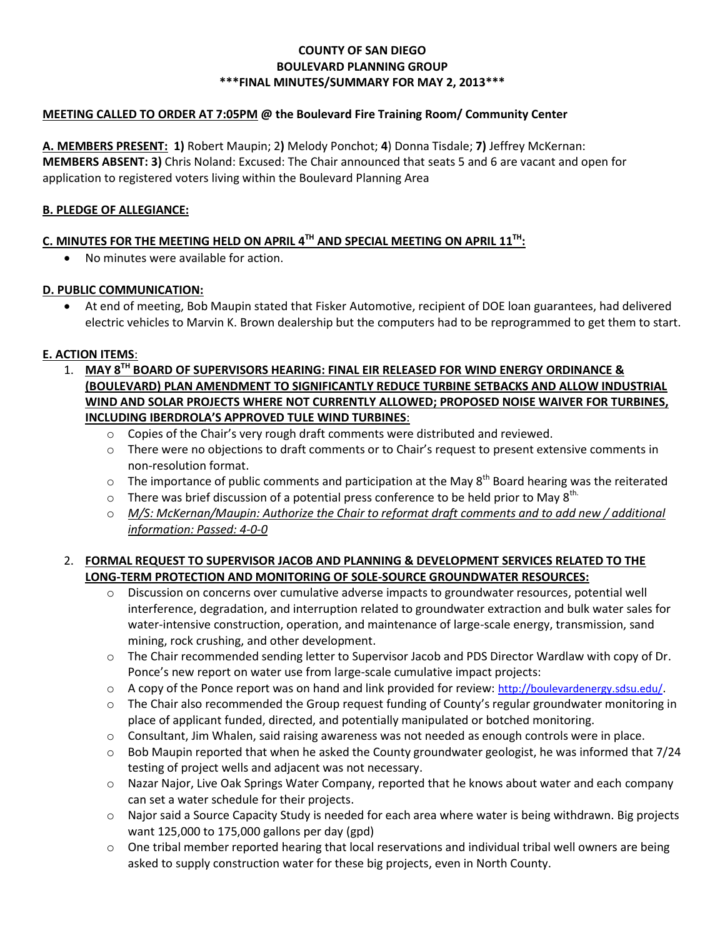### **COUNTY OF SAN DIEGO BOULEVARD PLANNING GROUP \*\*\*FINAL MINUTES/SUMMARY FOR MAY 2, 2013\*\*\***

### **MEETING CALLED TO ORDER AT 7:05PM @ the Boulevard Fire Training Room/ Community Center**

**A. MEMBERS PRESENT: 1)** Robert Maupin; 2**)** Melody Ponchot; **4**) Donna Tisdale; **7)** Jeffrey McKernan: **MEMBERS ABSENT: 3)** Chris Noland: Excused: The Chair announced that seats 5 and 6 are vacant and open for application to registered voters living within the Boulevard Planning Area

#### **B. PLEDGE OF ALLEGIANCE:**

## **C. MINUTES FOR THE MEETING HELD ON APRIL 4TH AND SPECIAL MEETING ON APRIL 11TH:**

No minutes were available for action.

#### **D. PUBLIC COMMUNICATION:**

 At end of meeting, Bob Maupin stated that Fisker Automotive, recipient of DOE loan guarantees, had delivered electric vehicles to Marvin K. Brown dealership but the computers had to be reprogrammed to get them to start.

### **E. ACTION ITEMS**:

- 1. **MAY 8TH BOARD OF SUPERVISORS HEARING: FINAL EIR RELEASED FOR WIND ENERGY ORDINANCE & (BOULEVARD) PLAN AMENDMENT TO SIGNIFICANTLY REDUCE TURBINE SETBACKS AND ALLOW INDUSTRIAL WIND AND SOLAR PROJECTS WHERE NOT CURRENTLY ALLOWED; PROPOSED NOISE WAIVER FOR TURBINES, INCLUDING IBERDROLA'S APPROVED TULE WIND TURBINES**:
	- $\circ$  Copies of the Chair's very rough draft comments were distributed and reviewed.
	- o There were no objections to draft comments or to Chair's request to present extensive comments in non-resolution format.
	- $\circ$  The importance of public comments and participation at the May  $8^{th}$  Board hearing was the reiterated
	- $\circ$  There was brief discussion of a potential press conference to be held prior to May 8<sup>th.</sup>
	- o *M/S: McKernan/Maupin: Authorize the Chair to reformat draft comments and to add new / additional information: Passed: 4-0-0*

### 2. **FORMAL REQUEST TO SUPERVISOR JACOB AND PLANNING & DEVELOPMENT SERVICES RELATED TO THE LONG-TERM PROTECTION AND MONITORING OF SOLE-SOURCE GROUNDWATER RESOURCES:**

- o Discussion on concerns over cumulative adverse impacts to groundwater resources, potential well interference, degradation, and interruption related to groundwater extraction and bulk water sales for water-intensive construction, operation, and maintenance of large-scale energy, transmission, sand mining, rock crushing, and other development.
- o The Chair recommended sending letter to Supervisor Jacob and PDS Director Wardlaw with copy of Dr. Ponce's new report on water use from large-scale cumulative impact projects:
- o A copy of the Ponce report was on hand and link provided for review: http://boulevardenergy.sdsu.edu/.
- $\circ$  The Chair also recommended the Group request funding of County's regular groundwater monitoring in place of applicant funded, directed, and potentially manipulated or botched monitoring.
- $\circ$  Consultant, Jim Whalen, said raising awareness was not needed as enough controls were in place.
- $\circ$  Bob Maupin reported that when he asked the County groundwater geologist, he was informed that 7/24 testing of project wells and adjacent was not necessary.
- o Nazar Najor, Live Oak Springs Water Company, reported that he knows about water and each company can set a water schedule for their projects.
- $\circ$  Najor said a Source Capacity Study is needed for each area where water is being withdrawn. Big projects want 125,000 to 175,000 gallons per day (gpd)
- $\circ$  One tribal member reported hearing that local reservations and individual tribal well owners are being asked to supply construction water for these big projects, even in North County.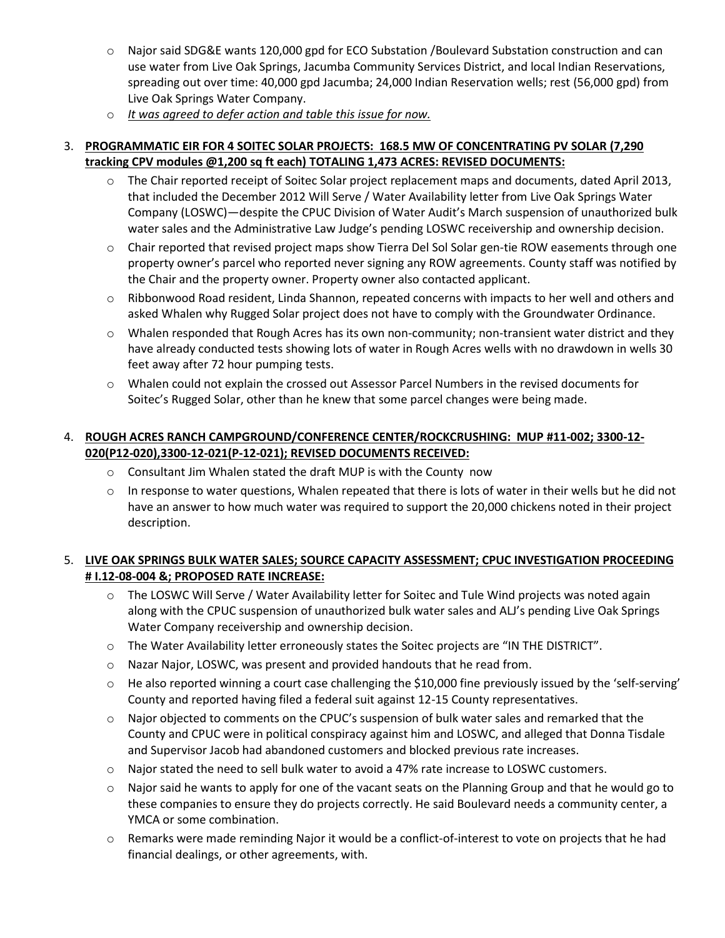- o Najor said SDG&E wants 120,000 gpd for ECO Substation /Boulevard Substation construction and can use water from Live Oak Springs, Jacumba Community Services District, and local Indian Reservations, spreading out over time: 40,000 gpd Jacumba; 24,000 Indian Reservation wells; rest (56,000 gpd) from Live Oak Springs Water Company.
- o *It was agreed to defer action and table this issue for now.*

## 3. **PROGRAMMATIC EIR FOR 4 SOITEC SOLAR PROJECTS: 168.5 MW OF CONCENTRATING PV SOLAR (7,290 tracking CPV modules @1,200 sq ft each) TOTALING 1,473 ACRES: REVISED DOCUMENTS:**

- $\circ$  The Chair reported receipt of Soitec Solar project replacement maps and documents, dated April 2013, that included the December 2012 Will Serve / Water Availability letter from Live Oak Springs Water Company (LOSWC)—despite the CPUC Division of Water Audit's March suspension of unauthorized bulk water sales and the Administrative Law Judge's pending LOSWC receivership and ownership decision.
- o Chair reported that revised project maps show Tierra Del Sol Solar gen-tie ROW easements through one property owner's parcel who reported never signing any ROW agreements. County staff was notified by the Chair and the property owner. Property owner also contacted applicant.
- $\circ$  Ribbonwood Road resident, Linda Shannon, repeated concerns with impacts to her well and others and asked Whalen why Rugged Solar project does not have to comply with the Groundwater Ordinance.
- $\circ$  Whalen responded that Rough Acres has its own non-community; non-transient water district and they have already conducted tests showing lots of water in Rough Acres wells with no drawdown in wells 30 feet away after 72 hour pumping tests.
- o Whalen could not explain the crossed out Assessor Parcel Numbers in the revised documents for Soitec's Rugged Solar, other than he knew that some parcel changes were being made.

# 4. **ROUGH ACRES RANCH CAMPGROUND/CONFERENCE CENTER/ROCKCRUSHING: MUP #11-002; 3300-12- 020(P12-020),3300-12-021(P-12-021); REVISED DOCUMENTS RECEIVED:**

- $\circ$  Consultant Jim Whalen stated the draft MUP is with the County now
- $\circ$  In response to water questions, Whalen repeated that there is lots of water in their wells but he did not have an answer to how much water was required to support the 20,000 chickens noted in their project description.

# 5. **LIVE OAK SPRINGS BULK WATER SALES; SOURCE CAPACITY ASSESSMENT; CPUC INVESTIGATION PROCEEDING # I.12-08-004 &; PROPOSED RATE INCREASE:**

- $\circ$  The LOSWC Will Serve / Water Availability letter for Soitec and Tule Wind projects was noted again along with the CPUC suspension of unauthorized bulk water sales and ALJ's pending Live Oak Springs Water Company receivership and ownership decision.
- o The Water Availability letter erroneously states the Soitec projects are "IN THE DISTRICT".
- o Nazar Najor, LOSWC, was present and provided handouts that he read from.
- $\circ$  He also reported winning a court case challenging the \$10,000 fine previously issued by the 'self-serving' County and reported having filed a federal suit against 12-15 County representatives.
- $\circ$  Najor objected to comments on the CPUC's suspension of bulk water sales and remarked that the County and CPUC were in political conspiracy against him and LOSWC, and alleged that Donna Tisdale and Supervisor Jacob had abandoned customers and blocked previous rate increases.
- o Najor stated the need to sell bulk water to avoid a 47% rate increase to LOSWC customers.
- o Najor said he wants to apply for one of the vacant seats on the Planning Group and that he would go to these companies to ensure they do projects correctly. He said Boulevard needs a community center, a YMCA or some combination.
- o Remarks were made reminding Najor it would be a conflict-of-interest to vote on projects that he had financial dealings, or other agreements, with.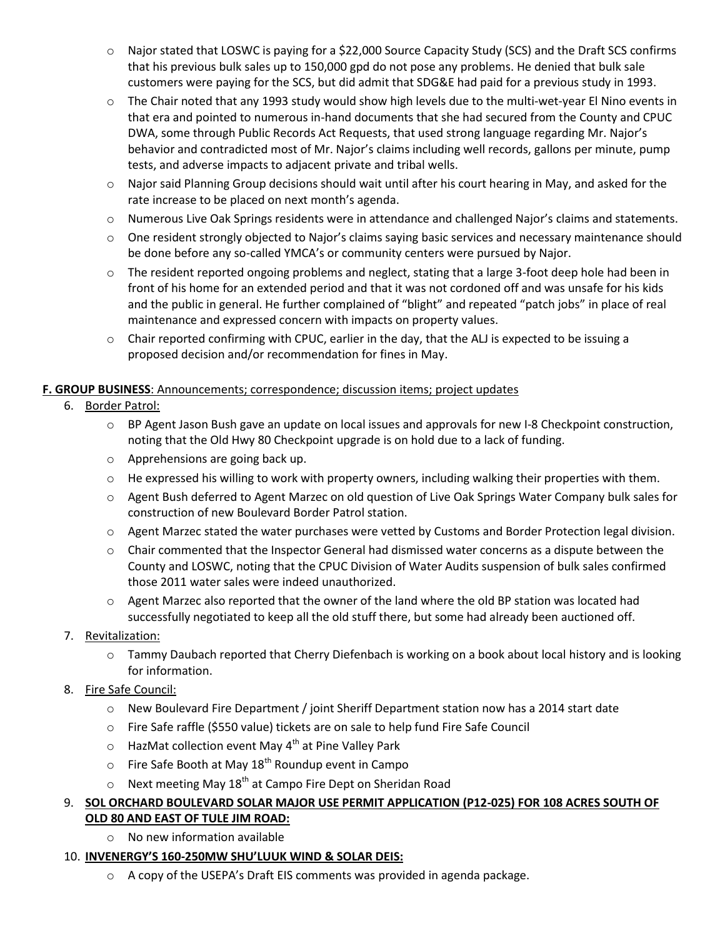- o Najor stated that LOSWC is paying for a \$22,000 Source Capacity Study (SCS) and the Draft SCS confirms that his previous bulk sales up to 150,000 gpd do not pose any problems. He denied that bulk sale customers were paying for the SCS, but did admit that SDG&E had paid for a previous study in 1993.
- $\circ$  The Chair noted that any 1993 study would show high levels due to the multi-wet-year El Nino events in that era and pointed to numerous in-hand documents that she had secured from the County and CPUC DWA, some through Public Records Act Requests, that used strong language regarding Mr. Najor's behavior and contradicted most of Mr. Najor's claims including well records, gallons per minute, pump tests, and adverse impacts to adjacent private and tribal wells.
- $\circ$  Najor said Planning Group decisions should wait until after his court hearing in May, and asked for the rate increase to be placed on next month's agenda.
- o Numerous Live Oak Springs residents were in attendance and challenged Najor's claims and statements.
- o One resident strongly objected to Najor's claims saying basic services and necessary maintenance should be done before any so-called YMCA's or community centers were pursued by Najor.
- o The resident reported ongoing problems and neglect, stating that a large 3-foot deep hole had been in front of his home for an extended period and that it was not cordoned off and was unsafe for his kids and the public in general. He further complained of "blight" and repeated "patch jobs" in place of real maintenance and expressed concern with impacts on property values.
- $\circ$  Chair reported confirming with CPUC, earlier in the day, that the ALJ is expected to be issuing a proposed decision and/or recommendation for fines in May.

# **F. GROUP BUSINESS**: Announcements; correspondence; discussion items; project updates

- 6. Border Patrol:
	- o BP Agent Jason Bush gave an update on local issues and approvals for new I-8 Checkpoint construction, noting that the Old Hwy 80 Checkpoint upgrade is on hold due to a lack of funding.
	- o Apprehensions are going back up.
	- $\circ$  He expressed his willing to work with property owners, including walking their properties with them.
	- o Agent Bush deferred to Agent Marzec on old question of Live Oak Springs Water Company bulk sales for construction of new Boulevard Border Patrol station.
	- o Agent Marzec stated the water purchases were vetted by Customs and Border Protection legal division.
	- $\circ$  Chair commented that the Inspector General had dismissed water concerns as a dispute between the County and LOSWC, noting that the CPUC Division of Water Audits suspension of bulk sales confirmed those 2011 water sales were indeed unauthorized.
	- o Agent Marzec also reported that the owner of the land where the old BP station was located had successfully negotiated to keep all the old stuff there, but some had already been auctioned off.
- 7. Revitalization:
	- o Tammy Daubach reported that Cherry Diefenbach is working on a book about local history and is looking for information.
- 8. Fire Safe Council:
	- o New Boulevard Fire Department / joint Sheriff Department station now has a 2014 start date
	- o Fire Safe raffle (\$550 value) tickets are on sale to help fund Fire Safe Council
	- $\circ$  HazMat collection event May 4<sup>th</sup> at Pine Valley Park
	- $\circ$  Fire Safe Booth at May 18<sup>th</sup> Roundup event in Campo
	- $\circ$  Next meeting May 18<sup>th</sup> at Campo Fire Dept on Sheridan Road

# 9. **SOL ORCHARD BOULEVARD SOLAR MAJOR USE PERMIT APPLICATION (P12-025) FOR 108 ACRES SOUTH OF**

- **OLD 80 AND EAST OF TULE JIM ROAD:**
	- o No new information available

## 10. **INVENERGY'S 160-250MW SHU'LUUK WIND & SOLAR DEIS:**

 $\circ$  A copy of the USEPA's Draft EIS comments was provided in agenda package.